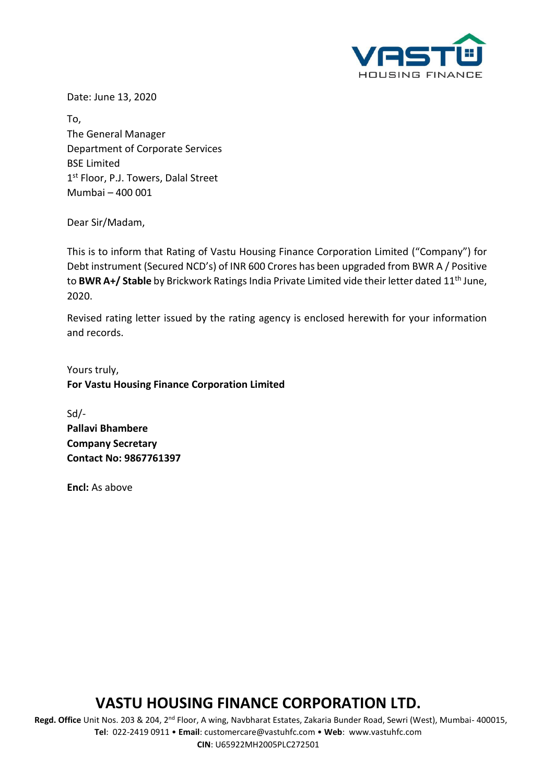

Date: June 13, 2020

To, The General Manager Department of Corporate Services BSE Limited 1<sup>st</sup> Floor, P.J. Towers, Dalal Street Mumbai – 400 001

Dear Sir/Madam,

This is to inform that Rating of Vastu Housing Finance Corporation Limited ("Company") for Debt instrument (Secured NCD's) of INR 600 Crores has been upgraded from BWR A / Positive to **BWR A+/ Stable** by Brickwork Ratings India Private Limited vide their letter dated 11th June, 2020.

Revised rating letter issued by the rating agency is enclosed herewith for your information and records.

Yours truly, **For Vastu Housing Finance Corporation Limited**

Sd/- **Pallavi Bhambere Company Secretary Contact No: 9867761397**

**Encl:** As above

# **VASTU HOUSING FINANCE CORPORATION LTD.**

 **Regd. Office** Unit Nos. 203 & 204, 2nd Floor, A wing, Navbharat Estates, Zakaria Bunder Road, Sewri (West), Mumbai- 400015, **Tel**: 022-2419 0911 • **Email**: [customercare@vastuhfc.com](mailto:customercare@vastuhfc.com) • **Web**: [www.vastuhfc.com](http://www.vastuhfc.com/)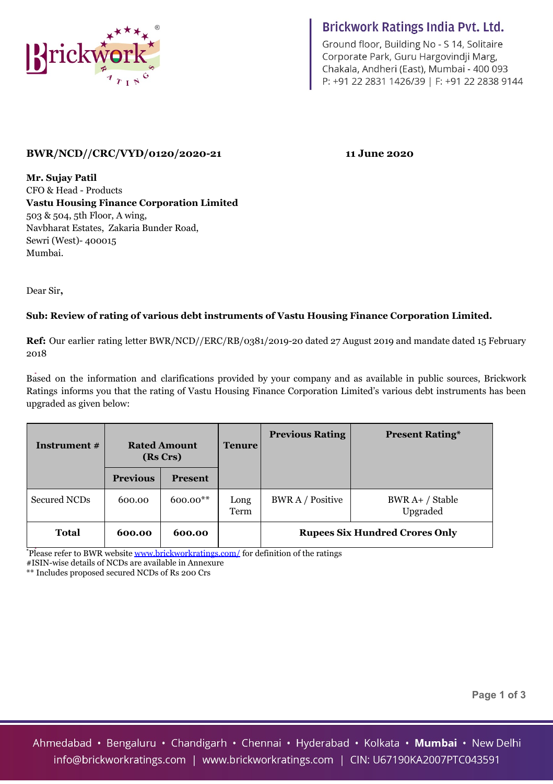

# Brickwork Ratings India Pvt. Ltd.

Ground floor, Building No - S 14, Solitaire Corporate Park, Guru Hargovindji Marg, Chakala, Andheri (East), Mumbai - 400 093 P: +91 22 2831 1426/39 | F: +91 22 2838 9144

### **BWR/NCD//CRC/VYD/0120/2020-21 11 June 2020**

**Mr. Sujay Patil** CFO & Head - Products **Vastu Housing Finance Corporation Limited** 503 & 504, 5th Floor, A wing, Navbharat Estates, Zakaria Bunder Road, Sewri (West)- 400015 Mumbai.

Dear Sir**,**

#### **Sub: Review of rating of various debt instruments of Vastu Housing Finance Corporation Limited.**

**Ref:** Our earlier rating letter BWR/NCD//ERC/RB/0381/2019-20 dated 27 August 2019 and mandate dated 15 February 2018

Based on the information and clarifications provided by your company and as available in public sources, Brickwork Ratings informs you that the rating of Vastu Housing Finance Corporation Limited's various debt instruments has been upgraded as given below:

| Instrument #        | <b>Rated Amount</b><br>(Rs Crs) |                | <b>Tenure</b> | <b>Previous Rating</b>                | <b>Present Rating*</b>      |  |  |
|---------------------|---------------------------------|----------------|---------------|---------------------------------------|-----------------------------|--|--|
|                     | <b>Previous</b>                 | <b>Present</b> |               |                                       |                             |  |  |
| <b>Secured NCDs</b> | 600.00                          | $600.00**$     | Long<br>Term  | <b>BWR A / Positive</b>               | BWR A+ / Stable<br>Upgraded |  |  |
| <b>Total</b>        | 600.00                          | 600.00         |               | <b>Rupees Six Hundred Crores Only</b> |                             |  |  |

**\***Please refer to BWR website [www.brickworkratings.com/](http://www.brickworkratings.com/) for definition of the ratings #ISIN-wise details of NCDs are available in Annexure

\*\* Includes proposed secured NCDs of Rs 200 Crs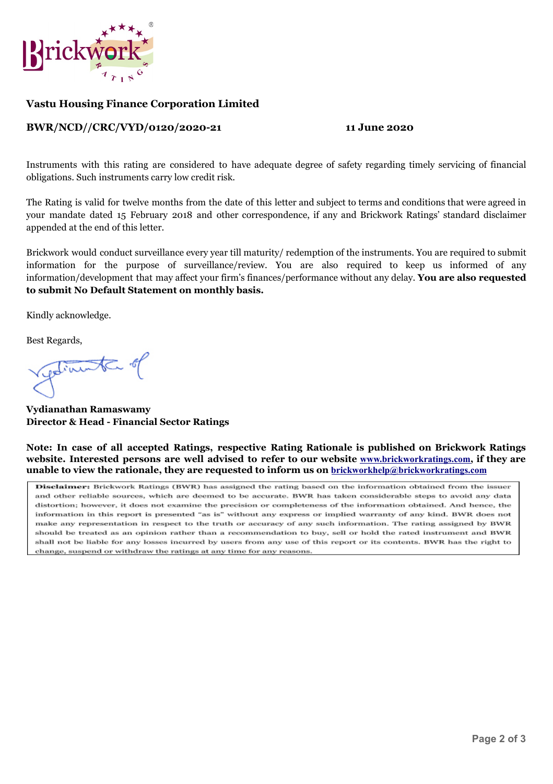

#### **Vastu Housing Finance Corporation Limited**

#### **BWR/NCD//CRC/VYD/0120/2020-21 11 June 2020**

Instruments with this rating are considered to have adequate degree of safety regarding timely servicing of financial obligations. Such instruments carry low credit risk.

The Rating is valid for twelve months from the date of this letter and subject to terms and conditions that were agreed in your mandate dated 15 February 2018 and other correspondence, if any and Brickwork Ratings' standard disclaimer appended at the end of this letter.

Brickwork would conduct surveillance every year till maturity/ redemption of the instruments. You are required to submit information for the purpose of surveillance/review. You are also required to keep us informed of any information/development that may affect your firm's finances/performance without any delay. **You are also requested to submit No Default Statement on monthly basis.**

Kindly acknowledge.

Best Regards,

getimente of

**Vydianathan Ramaswamy Director & Head - Financial Sector Ratings** 

**Note: In case of all accepted Ratings, respective Rating Rationale is published on Brickwork Ratings website. Interested persons are well advised to refer to our website [www.brickworkratings.com](http://www.brickworkratings.com/), if they are unable to view the rationale, they are requested to inform us on [brickworkhelp@brickworkratings.com](mailto:brickworkhelp@brickworkratings.com)**

Disclaimer: Brickwork Ratings (BWR) has assigned the rating based on the information obtained from the issuer and other reliable sources, which are deemed to be accurate. BWR has taken considerable steps to avoid any data distortion: however, it does not examine the precision or completeness of the information obtained. And hence, the information in this report is presented "as is" without any express or implied warranty of any kind. BWR does not make any representation in respect to the truth or accuracy of any such information. The rating assigned by BWR should be treated as an opinion rather than a recommendation to buy, sell or hold the rated instrument and BWR shall not be liable for any losses incurred by users from any use of this report or its contents. BWR has the right to change, suspend or withdraw the ratings at any time for any reasons.